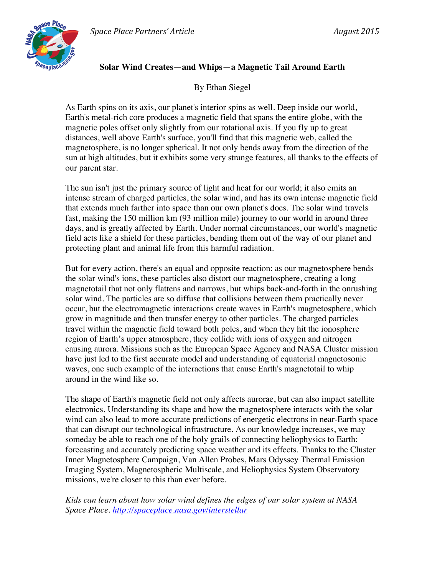

## **Solar Wind Creates—and Whips—a Magnetic Tail Around Earth**

By Ethan Siegel

As Earth spins on its axis, our planet's interior spins as well. Deep inside our world, Earth's metal-rich core produces a magnetic field that spans the entire globe, with the magnetic poles offset only slightly from our rotational axis. If you fly up to great distances, well above Earth's surface, you'll find that this magnetic web, called the magnetosphere, is no longer spherical. It not only bends away from the direction of the sun at high altitudes, but it exhibits some very strange features, all thanks to the effects of our parent star.

The sun isn't just the primary source of light and heat for our world; it also emits an intense stream of charged particles, the solar wind, and has its own intense magnetic field that extends much farther into space than our own planet's does. The solar wind travels fast, making the 150 million km (93 million mile) journey to our world in around three days, and is greatly affected by Earth. Under normal circumstances, our world's magnetic field acts like a shield for these particles, bending them out of the way of our planet and protecting plant and animal life from this harmful radiation.

But for every action, there's an equal and opposite reaction: as our magnetosphere bends the solar wind's ions, these particles also distort our magnetosphere, creating a long magnetotail that not only flattens and narrows, but whips back-and-forth in the onrushing solar wind. The particles are so diffuse that collisions between them practically never occur, but the electromagnetic interactions create waves in Earth's magnetosphere, which grow in magnitude and then transfer energy to other particles. The charged particles travel within the magnetic field toward both poles, and when they hit the ionosphere region of Earth's upper atmosphere, they collide with ions of oxygen and nitrogen causing aurora. Missions such as the European Space Agency and NASA Cluster mission have just led to the first accurate model and understanding of equatorial magnetosonic waves, one such example of the interactions that cause Earth's magnetotail to whip around in the wind like so.

The shape of Earth's magnetic field not only affects aurorae, but can also impact satellite electronics. Understanding its shape and how the magnetosphere interacts with the solar wind can also lead to more accurate predictions of energetic electrons in near-Earth space that can disrupt our technological infrastructure. As our knowledge increases, we may someday be able to reach one of the holy grails of connecting heliophysics to Earth: forecasting and accurately predicting space weather and its effects. Thanks to the Cluster Inner Magnetosphere Campaign, Van Allen Probes, Mars Odyssey Thermal Emission Imaging System, Magnetospheric Multiscale, and Heliophysics System Observatory missions, we're closer to this than ever before.

*Kids can learn about how solar wind defines the edges of our solar system at NASA Space Place. http://spaceplace.nasa.gov/interstellar*